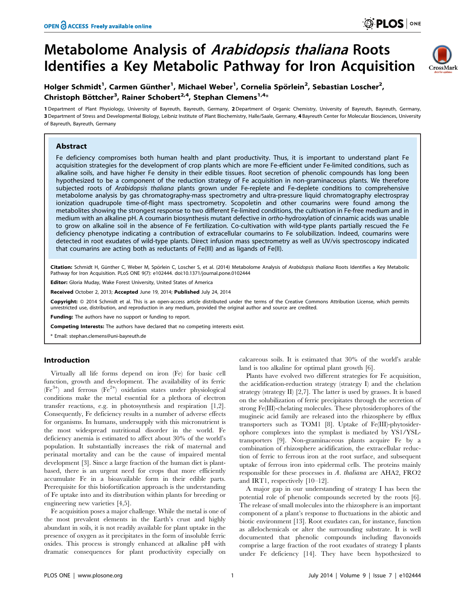# Metabolome Analysis of Arabidopsis thaliana Roots Identifies a Key Metabolic Pathway for Iron Acquisition



## Holger Schmidt<sup>1</sup>, Carmen Günther<sup>1</sup>, Michael Weber<sup>1</sup>, Cornelia Spörlein<sup>2</sup>, Sebastian Loscher<sup>2</sup>, Christoph Böttcher<sup>3</sup>, Rainer Schobert<sup>2,4</sup>, Stephan Clemens<sup>1,4</sup>\*

1 Department of Plant Physiology, University of Bayreuth, Bayreuth, Germany, 2 Department of Organic Chemistry, University of Bayreuth, Bayreuth, Germany, 3 Department of Stress and Developmental Biology, Leibniz Institute of Plant Biochemistry, Halle/Saale, Germany, 4 Bayreuth Center for Molecular Biosciences, University of Bayreuth, Bayreuth, Germany

## Abstract

Fe deficiency compromises both human health and plant productivity. Thus, it is important to understand plant Fe acquisition strategies for the development of crop plants which are more Fe-efficient under Fe-limited conditions, such as alkaline soils, and have higher Fe density in their edible tissues. Root secretion of phenolic compounds has long been hypothesized to be a component of the reduction strategy of Fe acquisition in non-graminaceous plants. We therefore subjected roots of Arabidopsis thaliana plants grown under Fe-replete and Fe-deplete conditions to comprehensive metabolome analysis by gas chromatography-mass spectrometry and ultra-pressure liquid chromatography electrospray ionization quadrupole time-of-flight mass spectrometry. Scopoletin and other coumarins were found among the metabolites showing the strongest response to two different Fe-limited conditions, the cultivation in Fe-free medium and in medium with an alkaline pH. A coumarin biosynthesis mutant defective in ortho-hydroxylation of cinnamic acids was unable to grow on alkaline soil in the absence of Fe fertilization. Co-cultivation with wild-type plants partially rescued the Fe deficiency phenotype indicating a contribution of extracellular coumarins to Fe solubilization. Indeed, coumarins were detected in root exudates of wild-type plants. Direct infusion mass spectrometry as well as UV/vis spectroscopy indicated that coumarins are acting both as reductants of Fe(III) and as ligands of Fe(II).

Citation: Schmidt H, Günther C, Weber M, Spörlein C, Loscher S, et al. (2014) Metabolome Analysis of Arabidopsis thaliana Roots Identifies a Key Metabolic Pathway for Iron Acquisition. PLoS ONE 9(7): e102444. doi:10.1371/journal.pone.0102444

Editor: Gloria Muday, Wake Forest University, United States of America

Received October 2, 2013; Accepted June 19, 2014; Published July 24, 2014

Copyright: @ 2014 Schmidt et al. This is an open-access article distributed under the terms of the [Creative Commons Attribution License,](http://creativecommons.org/licenses/by/4.0/) which permits unrestricted use, distribution, and reproduction in any medium, provided the original author and source are credited.

Funding: The authors have no support or funding to report.

Competing Interests: The authors have declared that no competing interests exist.

\* Email: stephan.clemens@uni-bayreuth.de

## Introduction

Virtually all life forms depend on iron (Fe) for basic cell function, growth and development. The availability of its ferric (Fe<sup>3+</sup>) and ferrous (Fe<sup>2+</sup>) oxidation states under physiological conditions make the metal essential for a plethora of electron transfer reactions, e.g. in photosynthesis and respiration [1,2]. Consequently, Fe deficiency results in a number of adverse effects for organisms. In humans, undersupply with this micronutrient is the most widespread nutritional disorder in the world. Fe deficiency anemia is estimated to affect about 30% of the world's population. It substantially increases the risk of maternal and perinatal mortality and can be the cause of impaired mental development [3]. Since a large fraction of the human diet is plantbased, there is an urgent need for crops that more efficiently accumulate Fe in a bioavailable form in their edible parts. Prerequisite for this biofortification approach is the understanding of Fe uptake into and its distribution within plants for breeding or engineering new varieties [4,5].

Fe acquisition poses a major challenge. While the metal is one of the most prevalent elements in the Earth's crust and highly abundant in soils, it is not readily available for plant uptake in the presence of oxygen as it precipitates in the form of insoluble ferric oxides. This process is strongly enhanced at alkaline pH with dramatic consequences for plant productivity especially on

calcareous soils. It is estimated that 30% of the world's arable land is too alkaline for optimal plant growth [6].

Plants have evolved two different strategies for Fe acquisition, the acidification-reduction strategy (strategy I) and the chelation strategy (strategy II) [2,7]. The latter is used by grasses. It is based on the solubilization of ferric precipitates through the secretion of strong Fe(III)-chelating molecules. These phytosiderophores of the mugineic acid family are released into the rhizosphere by efflux transporters such as TOM1 [8]. Uptake of Fe(III)-phytosiderophore complexes into the symplast is mediated by YS1/YSLtransporters [9]. Non-graminaceous plants acquire Fe by a combination of rhizosphere acidification, the extracellular reduction of ferric to ferrous iron at the root surface, and subsequent uptake of ferrous iron into epidermal cells. The proteins mainly responsible for these processes in A. thaliana are AHA2, FRO2 and IRT1, respectively [10–12].

A major gap in our understanding of strategy I has been the potential role of phenolic compounds secreted by the roots [6]. The release of small molecules into the rhizosphere is an important component of a plant's response to fluctuations in the abiotic and biotic environment [13]. Root exudates can, for instance, function as allelochemicals or alter the surrounding substrate. It is well documented that phenolic compounds including flavonoids comprise a large fraction of the root exudates of strategy I plants under Fe deficiency [14]. They have been hypothesized to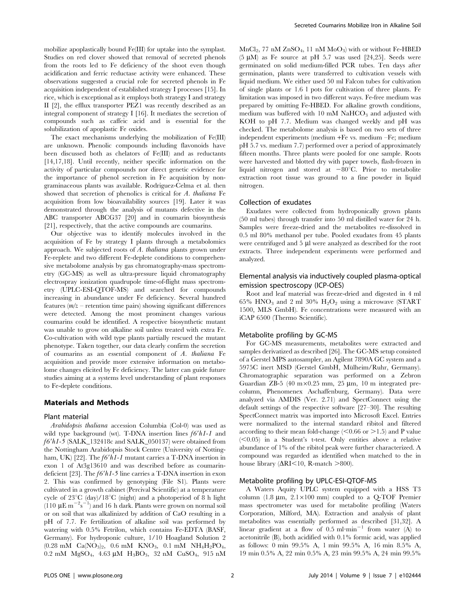mobilize apoplastically bound Fe(III) for uptake into the symplast. Studies on red clover showed that removal of secreted phenols from the roots led to Fe deficiency of the shoot even though acidification and ferric reductase activity were enhanced. These observations suggested a crucial role for secreted phenols in Fe acquisition independent of established strategy I processes [15]. In rice, which is exceptional as it employs both strategy I and strategy II [2], the efflux transporter PEZ1 was recently described as an integral component of strategy I [16]. It mediates the secretion of compounds such as caffeic acid and is essential for the solubilization of apoplastic Fe oxides.

The exact mechanisms underlying the mobilization of Fe(III) are unknown. Phenolic compounds including flavonoids have been discussed both as chelators of Fe(III) and as reductants [14,17,18]. Until recently, neither specific information on the activity of particular compounds nor direct genetic evidence for the importance of phenol secretion in Fe acquisition by nongraminaceous plants was available. Rodriguez-Celma et al. then showed that secretion of phenolics is critical for A. thaliana Fe acquisition from low bioavailability sources [19]. Later it was demonstrated through the analysis of mutants defective in the ABC transporter ABCG37 [20] and in coumarin biosynthesis [21], respectively, that the active compounds are coumarins.

Our objective was to identify molecules involved in the acquisition of Fe by strategy I plants through a metabolomics approach. We subjected roots of A. thaliana plants grown under Fe-replete and two different Fe-deplete conditions to comprehensive metabolome analysis by gas chromatography-mass spectrometry (GC-MS) as well as ultra-pressure liquid chromatography electrospray ionization quadrupole time-of-flight mass spectrometry (UPLC-ESI-QTOF-MS) and searched for compounds increasing in abundance under Fe deficiency. Several hundred features  $(m/z -$  retention time pairs) showing significant differences were detected. Among the most prominent changes various coumarins could be identified. A respective biosynthetic mutant was unable to grow on alkaline soil unless treated with extra Fe. Co-cultivation with wild type plants partially rescued the mutant phenotype. Taken together, our data clearly confirm the secretion of coumarins as an essential component of A. thaliana Fe acquisition and provide more extensive information on metabolome changes elicited by Fe deficiency. The latter can guide future studies aiming at a systems level understanding of plant responses to Fe-deplete conditions.

## Materials and Methods

#### Plant material

Arabidopsis thaliana accession Columbia (Col-0) was used as wild type background (wt). T-DNA insertion lines  $f6'h1-1$  and  $f6'h1-5$  (SALK\_132418c and SALK\_050137) were obtained from the Nottingham Arabidopsis Stock Centre (University of Nottingham, UK) [22]. The  $f6'h1-l$  mutant carries a T-DNA insertion in exon 1 of At3g13610 and was described before as coumarindeficient [23]. The  $f6'h1-5$  line carries a T-DNA insertion in exon 2. This was confirmed by genotyping (File S1). Plants were cultivated in a growth cabinet (Percival Scientific) at a temperature cycle of  $23^{\circ}C$  (day)/18<sup>°</sup>C (night) and a photoperiod of 8 h light  $(110 \ \mu \text{E m}^{-2} \text{s}^{-1})$  and 16 h dark. Plants were grown on normal soil or on soil that was alkalinized by addition of CaO resulting in a pH of 7.7. Fe fertilization of alkaline soil was performed by watering with 0.5% Fetrilon, which contains Fe-EDTA (BASF, Germany). For hydroponic culture, 1/10 Hoagland Solution 2  $(0.28 \text{ mM } Ca(NO_3)_2, 0.6 \text{ mM } KNO_3, 0.1 \text{ mM } NH_4H_2PO_4,$ 0.2 mM  $MgSO_4$ , 4.63 µM  $H_3BO_3$ , 32 nM  $CuSO_4$ , 915 nM  $MnCl<sub>2</sub>$ , 77 nM  $ZnSO<sub>4</sub>$ , 11 nM  $MoO<sub>3</sub>$ ) with or without Fe-HBED  $(5 \mu M)$  as Fe source at pH 5.7 was used [24,25]. Seeds were germinated on solid medium-filled PCR tubes. Ten days after germination, plants were transferred to cultivation vessels with liquid medium. We either used 50 ml Falcon tubes for cultivation of single plants or 1.6 l pots for cultivation of three plants. Fe limitation was imposed in two different ways. Fe-free medium was prepared by omitting Fe-HBED. For alkaline growth conditions, medium was buffered with 10 mM  $NaHCO<sub>3</sub>$  and adjusted with KOH to pH 7.7. Medium was changed weekly and pH was checked. The metabolome analysis is based on two sets of three independent experiments (medium +Fe vs. medium –Fe; medium pH 5.7 vs. medium 7.7) performed over a period of approximately fifteen months. Three plants were pooled for one sample. Roots were harvested and blotted dry with paper towels, flash-frozen in liquid nitrogen and stored at  $-80^{\circ}$ C. Prior to metabolite extraction root tissue was ground to a fine powder in liquid nitrogen.

## Collection of exudates

Exudates were collected from hydroponically grown plants (50 ml tubes) through transfer into 50 ml distilled water for 24 h. Samples were freeze-dried and the metabolites re-dissolved in 0.5 ml 80% methanol per tube. Pooled exudates from 45 plants were centrifuged and  $5 \mu l$  were analyzed as described for the root extracts. Three independent experiments were performed and analyzed.

## Elemental analysis via inductively coupled plasma-optical emission spectroscopy (ICP-OES)

Root and leaf material was freeze-dried and digested in 4 ml 65% HNO<sub>3</sub> and 2 ml 30%  $H_2O_2$  using a microwave (START 1500, MLS GmbH). Fe concentrations were measured with an iCAP 6500 (Thermo Scientific).

## Metabolite profiling by GC-MS

For GC-MS measurements, metabolites were extracted and samples derivatized as described [26]. The GC-MS setup consisted of a Gerstel MPS autosampler, an Agilent 7890A GC system and a 5975C inert MSD (Gerstel GmbH, Mülheim/Ruhr, Germany). Chromatographic separation was performed on a Zebron Guardian ZB-5 (40 m $\times$ 0.25 mm, 25 µm, 10 m integrated precolumn, Phenomenex Aschaffenburg, Germany). Data were analyzed via AMDIS (Ver. 2.71) and SpectConnect using the default settings of the respective software [27–30]. The resulting SpectConnect matrix was imported into Microsoft Excel. Entries were normalized to the internal standard ribitol and filtered according to their mean fold-change  $(< 0.66$  or  $> 1.5$ ) and P value  $(<0.05$ ) in a Student's t-test. Only entities above a relativeabundance of 1% of the ribitol peak were further characterized. A compound was regarded as identified when matched to the in house library ( $\Delta$ RI $\leq$ 10, R-match  $>$ 800).

### Metabolite profiling by UPLC-ESI-QTOF-MS

A Waters Aquity UPLC system equipped with a HSS T3 column (1.8  $\mu$ m, 2.1×100 mm) coupled to a Q-TOF Premier mass spectrometer was used for metabolite profiling (Waters Corporation, Milford, MA). Extraction and analysis of plant metabolites was essentially performed as described [31,32]. A linear gradient at a flow of  $0.5$  ml $\cdot$ min<sup>-1</sup> from water (A) to acetonitrile (B), both acidified with 0.1% formic acid, was applied as follows: 0 min 99.5% A, 1 min 99.5% A, 16 min 8.5% A, 19 min 0.5% A, 22 min 0.5% A, 23 min 99.5% A, 24 min 99.5%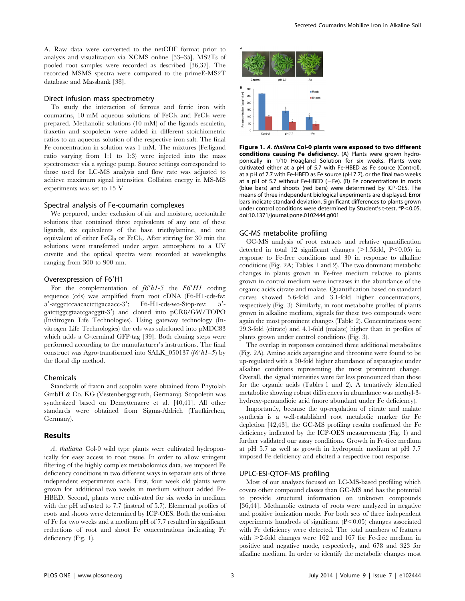A. Raw data were converted to the netCDF format prior to analysis and visualization via XCMS online [33–35]. MS2Ts of pooled root samples were recorded as described [36,37]. The recorded MSMS spectra were compared to the primeE-MS2T database and Massbank [38].

## Direct infusion mass spectrometry

To study the interaction of ferrous and ferric iron with coumarins, 10 mM aqueous solutions of  $FeCl<sub>3</sub>$  and  $FeCl<sub>2</sub>$  were prepared. Methanolic solutions (10 mM) of the ligands esculetin, fraxetin and scopoletin were added in different stoichiometric ratios to an aqueous solution of the respective iron salt. The final Fe concentration in solution was 1 mM. The mixtures (Fe:ligand ratio varying from 1:1 to 1:3) were injected into the mass spectrometer via a syringe pump. Source settings corresponded to those used for LC-MS analysis and flow rate was adjusted to achieve maximum signal intensities. Collision energy in MS-MS experiments was set to 15 V.

## Spectral analysis of Fe-coumarin complexes

We prepared, under exclusion of air and moisture, acetonitrile solutions that contained three equivalents of any one of these ligands, six equivalents of the base triethylamine, and one equivalent of either FeCl<sub>2</sub> or FeCl<sub>3</sub>. After stirring for 30 min the solutions were transferred under argon atmosphere to a UV cuvette and the optical spectra were recorded at wavelengths ranging from 300 to 900 nm.

#### Overexpression of F6'H1

For the complementation of  $f6'h1-5$  the  $F6'H1$  coding sequence (cds) was amplified from root cDNA (F6-H1-cds-fw:  $5'$ -atggctccaacactcttgacaacc-3'; F6-H1-cds-wo-Stop-rev:  $5'$ gatcttggcgtaatcgacggtt-39) and cloned into pCR8/GW/TOPO (Invitrogen Life Technologies). Using gateway technology (Invitrogen Life Technologies) the cds was subcloned into pMDC83 which adds a C-terminal GFP-tag [39]. Both cloning steps were performed according to the manufacturer's instructions. The final construct was Agro-transformed into SALK\_050137 ( $f6'h1-5$ ) by the floral dip method.

#### Chemicals

Standards of fraxin and scopolin were obtained from Phytolab GmbH & Co. KG (Vestenbergsgreuth, Germany). Scopoletin was synthesized based on Demyttenaere et al. [40,41]. All other standards were obtained from Sigma-Aldrich (Taufkirchen, Germany).

## Results

A. thaliana Col-0 wild type plants were cultivated hydroponically for easy access to root tissue. In order to allow stringent filtering of the highly complex metabolomics data, we imposed Fe deficiency conditions in two different ways in separate sets of three independent experiments each. First, four week old plants were grown for additional two weeks in medium without added Fe-HBED. Second, plants were cultivated for six weeks in medium with the pH adjusted to 7.7 (instead of 5.7). Elemental profiles of roots and shoots were determined by ICP-OES. Both the omission of Fe for two weeks and a medium pH of 7.7 resulted in significant reductions of root and shoot Fe concentrations indicating Fe deficiency (Fig. 1).



Figure 1. A. thaliana Col-0 plants were exposed to two different conditions causing Fe deficiency. (A) Plants were grown hydroponically in 1/10 Hoagland Solution for six weeks. Plants were cultivated either at a pH of 5.7 with Fe-HBED as Fe source (Control), at a pH of 7.7 with Fe-HBED as Fe source (pH 7.7), or the final two weeks at a pH of 5.7 without Fe-HBED ( $-Fe$ ). (B) Fe concentrations in roots (blue bars) and shoots (red bars) were determined by ICP-OES. The means of three independent biological experiments are displayed. Error bars indicate standard deviation. Significant differences to plants grown under control conditions were determined by Student's t-test,  $*P<0.05$ . doi:10.1371/journal.pone.0102444.g001

#### GC-MS metabolite profiling

GC-MS analysis of root extracts and relative quantification detected in total 12 significant changes  $(>1.5$ fold, P $< 0.05$ ) in response to Fe-free conditions and 30 in response to alkaline conditions (Fig. 2A; Tables 1 and 2). The two dominant metabolic changes in plants grown in Fe-free medium relative to plants grown in control medium were increases in the abundance of the organic acids citrate and malate. Quantification based on standard curves showed 5.6-fold and 3.1-fold higher concentrations, respectively (Fig. 3). Similarly, in root metabolite profiles of plants grown in alkaline medium, signals for these two compounds were again the most prominent changes (Table 2). Concentrations were 29.3-fold (citrate) and 4.1-fold (malate) higher than in profiles of plants grown under control conditions (Fig. 3).

The overlap in responses contained three additional metabolites (Fig. 2A). Amino acids asparagine and threonine were found to be up-regulated with a 30-fold higher abundance of asparagine under alkaline conditions representing the most prominent change. Overall, the signal intensities were far less pronounced than those for the organic acids (Tables 1 and 2). A tentatively identified metabolite showing robust differences in abundance was methyl-3 hydroxy-pentandioic acid (more abundant under Fe deficiency).

Importantly, because the up-regulation of citrate and malate synthesis is a well-established root metabolic marker for Fe depletion [42,43], the GC-MS profiling results confirmed the Fe deficiency indicated by the ICP-OES measurements (Fig. 1) and further validated our assay conditions. Growth in Fe-free medium at pH 5.7 as well as growth in hydroponic medium at pH 7.7 imposed Fe deficiency and elicited a respective root response.

#### UPLC-ESI-QTOF-MS profiling

Most of our analyses focused on LC-MS-based profiling which covers other compound classes than GC-MS and has the potential to provide structural information on unknown compounds [36,44]. Methanolic extracts of roots were analyzed in negative and positive ionization mode. For both sets of three independent experiments hundreds of significant  $(P<0.05)$  changes associated with Fe deficiency were detected. The total numbers of features with  $\geq$ 2-fold changes were 162 and 167 for Fe-free medium in positive and negative mode, respectively, and 678 and 323 for alkaline medium. In order to identify the metabolic changes most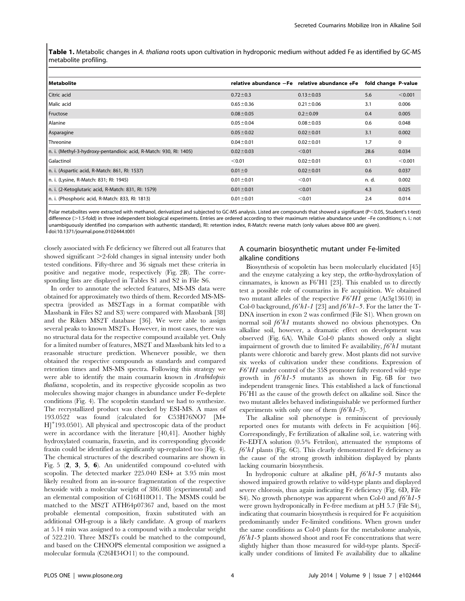Table 1. Metabolic changes in A. thaliana roots upon cultivation in hydroponic medium without added Fe as identified by GC-MS metabolite profiling.

| l Metabolite                                                      |                 | relative abundance -Fe relative abundance +Fe | fold change P-value |             |
|-------------------------------------------------------------------|-----------------|-----------------------------------------------|---------------------|-------------|
| Citric acid                                                       | $0.72 \pm 0.3$  | $0.13 \pm 0.03$                               | 5.6                 | < 0.001     |
| Malic acid                                                        | $0.65 \pm 0.36$ | $0.21 \pm 0.06$                               | 3.1                 | 0.006       |
| Fructose                                                          | $0.08 \pm 0.05$ | $0.2 \pm 0.09$                                | 0.4                 | 0.005       |
| Alanine                                                           | $0.05 \pm 0.04$ | $0.08 + 0.03$                                 | 0.6                 | 0.048       |
| Asparagine                                                        | $0.05 \pm 0.02$ | $0.02 \pm 0.01$                               | 3.1                 | 0.002       |
| <b>Threonine</b>                                                  | $0.04 \pm 0.01$ | $0.02 \pm 0.01$                               | 1.7                 | $\mathbf 0$ |
| n. i. (Methyl-3-hydroxy-pentandioic acid, R-Match: 930, RI: 1405) | $0.02 \pm 0.03$ | < 0.01                                        | 28.6                | 0.034       |
| Galactinol                                                        | < 0.01          | $0.02 \pm 0.01$                               | 0.1                 | < 0.001     |
| n. i. (Aspartic acid, R-Match: 861, RI: 1537)                     | $0.01 \pm 0$    | $0.02 \pm 0.01$                               | 0.6                 | 0.037       |
| n. i. (Lysine, R-Match: 831; RI: 1945)                            | $0.01 \pm 0.01$ | < 0.01                                        | n. d.               | 0.002       |
| n. i. (2-Ketoglutaric acid, R-Match: 831, RI: 1579)               | $0.01 \pm 0.01$ | < 0.01                                        | 4.3                 | 0.025       |
| n. i. (Phosphoric acid, R-Match: 833, RI: 1813)                   | $0.01 \pm 0.01$ | < 0.01                                        | 2.4                 | 0.014       |

Polar metabolites were extracted with methanol, derivatized and subjected to GC-MS analysis. Listed are compounds that showed a significant (P<0.05, Student's t-test) difference (>1.5-fold) in three independent biological experiments. Entries are ordered according to their maximum relative abundance under –Fe conditions; n. i.: not unambiguously identified (no comparison with authentic standard), RI: retention index, R-Match: reverse match (only values above 800 are given). doi:10.1371/journal.pone.0102444.t001

closely associated with Fe deficiency we filtered out all features that showed significant  $\geq$ 2-fold changes in signal intensity under both tested conditions. Fifty-three and 36 signals met these criteria in positive and negative mode, respectively (Fig. 2B). The corresponding lists are displayed in Tables S1 and S2 in File S6.

In order to annotate the selected features, MS-MS data were obtained for approximately two thirds of them. Recorded MS-MSspectra (provided as MS2Tags in a format compatible with Massbank in Files S2 and S3) were compared with Massbank [38] and the Riken MS2T database [36]. We were able to assign several peaks to known MS2Ts. However, in most cases, there was no structural data for the respective compound available yet. Only for a limited number of features, MS2T and Massbank hits led to a reasonable structure prediction. Whenever possible, we then obtained the respective compounds as standards and compared retention times and MS-MS spectra. Following this strategy we were able to identify the main coumarin known in Arabidopsis thaliana, scopoletin, and its respective glycoside scopolin as two molecules showing major changes in abundance under Fe-deplete conditions (Fig. 4). The scopoletin standard we had to synthesize. The recrystallized product was checked by ESI-MS. A mass of 193.0522 was found (calculated for C53H76NO7 [M+ H]<sup>+</sup> 193.0501). All physical and spectroscopic data of the product were in accordance with the literature [40,41]. Another highly hydroxylated coumarin, fraxetin, and its corresponding glycoside fraxin could be identified as significantly up-regulated too (Fig. 4). The chemical structures of the described coumarins are shown in Fig. 5 (2, 3, 5, 6). An unidentifed compound co-eluted with scopolin. The detected marker 225.040 ESI+ at 3.95 min most likely resulted from an in-source fragmentation of the respective hexoside with a molecular weight of 386.088 (experimental) and an elemental composition of C16H18O11. The MSMS could be matched to the MS2T ATH64p07367 and, based on the most probable elemental composition, fraxin substituted with an additional OH-group is a likely candidate. A group of markers at 5.14 min was assigned to a compound with a molecular weight of 522.210. Three MS2Ts could be matched to the compound, and based on the CHNOPS elemental composition we assigned a molecular formula (C26H34O11) to the compound.

## A coumarin biosynthetic mutant under Fe-limited alkaline conditions

Biosynthesis of scopoletin has been molecularly elucidated [45] and the enzyme catalyzing a key step, the ortho-hydroxylation of cinnamates, is known as  $F6'H1$  [23]. This enabled us to directly test a possible role of coumarins in Fe acquisition. We obtained two mutant alleles of the respective  $F6'H1$  gene (At3g13610) in Col-0 background,  $f6'h1-1$  [23] and  $f6'h1-5$ . For the latter the T-DNA insertion in exon 2 was confirmed (File S1). When grown on normal soil  $f6'h1$  mutants showed no obvious phenotypes. On alkaline soil, however, a dramatic effect on development was observed (Fig. 6A). While Col-0 plants showed only a slight impairment of growth due to limited Fe availability,  $f6'h1$  mutant plants were chlorotic and barely grew. Most plants did not survive six weeks of cultivation under these conditions. Expression of  $F6'HI$  under control of the 35S promoter fully restored wild–type growth in  $f6'h1-5$  mutants as shown in Fig. 6B for two independent transgenic lines. This established a lack of functional F69H1 as the cause of the growth defect on alkaline soil. Since the two mutant alleles behaved indistinguishable we performed further experiments with only one of them  $(f6'h1-5)$ .

The alkaline soil phenotype is reminiscent of previously reported ones for mutants with defects in Fe acquisition [46]. Correspondingly, Fe fertilization of alkaline soil, i.e. watering with Fe-EDTA solution (0.5% Fetrilon), attenuated the symptoms of  $f6'h1$  plants (Fig. 6C). This clearly demonstrated Fe deficiency as the cause of the strong growth inhibition displayed by plants lacking coumarin biosynthesis.

In hydroponic culture at alkaline pH,  $f6'h1-5$  mutants also showed impaired growth relative to wild-type plants and displayed severe chlorosis, thus again indicating Fe deficiency (Fig. 6D, File S4). No growth phenotype was apparent when Col-0 and  $f6'h1-5$ were grown hydroponically in Fe-free medium at pH 5.7 (File S4), indicating that coumarin biosynthesis is required for Fe acquisition predominantly under Fe-limited conditions. When grown under the same conditions as Col-0 plants for the metabolome analysis,  $f6'h1-5$  plants showed shoot and root Fe concentrations that were slightly higher than those measured for wild-type plants. Specifically under conditions of limited Fe availability due to alkaline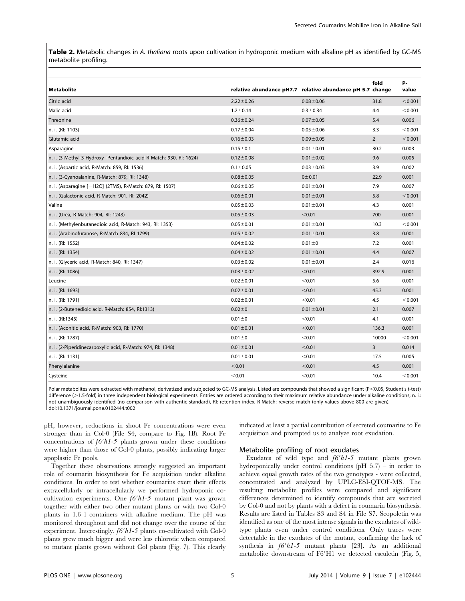Table 2. Metabolic changes in A. thaliana roots upon cultivation in hydroponic medium with alkaline pH as identified by GC-MS metabolite profiling.

|                                                                     |                 |                                                           | fold           | <b>P-</b> |
|---------------------------------------------------------------------|-----------------|-----------------------------------------------------------|----------------|-----------|
| <b>Metabolite</b>                                                   |                 | relative abundance pH7.7 relative abundance pH 5.7 change |                | value     |
| Citric acid                                                         | $2.22 \pm 0.26$ | $0.08 + 0.06$                                             | 31.8           | < 0.001   |
| Malic acid                                                          | $1.2 \pm 0.14$  | $0.3 + 0.34$                                              | 4.4            | < 0.001   |
| Threonine                                                           | $0.36 \pm 0.24$ | $0.07 \pm 0.05$                                           | 5.4            | 0.006     |
| n. i. (RI: 1103)                                                    | $0.17 + 0.04$   | $0.05 \pm 0.06$                                           | 3.3            | < 0.001   |
| Glutamic acid                                                       | $0.16 \pm 0.03$ | $0.09 + 0.05$                                             | $\overline{2}$ | < 0.001   |
| Asparagine                                                          | $0.15 \pm 0.1$  | $0.01 \pm 0.01$                                           | 30.2           | 0.003     |
| n. i. (3-Methyl-3-Hydroxy -Pentandioic acid R-Match: 930, RI: 1624) | $0.12 \pm 0.08$ | $0.01 \pm 0.02$                                           | 9.6            | 0.005     |
| n. i. (Aspartic acid, R-Match: 859, RI: 1536)                       | $0.1 \pm 0.05$  | $0.03 \pm 0.03$                                           | 3.9            | 0.002     |
| n. i. (3-Cyanoalanine, R-Match: 879, RI: 1348)                      | $0.08 \pm 0.05$ | $0 + 0.01$                                                | 22.9           | 0.001     |
| n. i. (Asparagine [-H2O] (2TMS), R-Match: 879, RI: 1507)            | $0.06 \pm 0.05$ | $0.01 \pm 0.01$                                           | 7.9            | 0.007     |
| n. i. (Galactonic acid, R-Match: 901, Rl: 2042)                     | $0.06 \pm 0.01$ | $0.01 \pm 0.01$                                           | 5.8            | < 0.001   |
| Valine                                                              | $0.05 \pm 0.03$ | $0.01 \pm 0.01$                                           | 4.3            | 0.001     |
| n. i. (Urea, R-Match: 904, RI: 1243)                                | $0.05 \pm 0.03$ | < 0.01                                                    | 700            | 0.001     |
| n. i. (Methylenbutanedioic acid, R-Match: 943, RI: 1353)            | $0.05 \pm 0.01$ | $0.01 \pm 0.01$                                           | 10.3           | < 0.001   |
| n. i. (Arabinofuranose, R-Match 834, RI 1799)                       | $0.05 \pm 0.02$ | $0.01 \pm 0.01$                                           | 3.8            | 0.001     |
| n. i. (Rl: 1552)                                                    | $0.04 \pm 0.02$ | $0.01 \pm 0$                                              | 7.2            | 0.001     |
| n. i. (Rl: 1354)                                                    | $0.04 \pm 0.02$ | $0.01 \pm 0.01$                                           | 4.4            | 0.007     |
| n. i. (Glyceric acid, R-Match: 840, RI: 1347)                       | $0.03 \pm 0.02$ | $0.01 \pm 0.01$                                           | 2.4            | 0.016     |
| n. i. (Rl: 1086)                                                    | $0.03 \pm 0.02$ | < 0.01                                                    | 392.9          | 0.001     |
| Leucine                                                             | $0.02 \pm 0.01$ | < 0.01                                                    | 5.6            | 0.001     |
| n. i. (Rl: 1693)                                                    | $0.02 \pm 0.01$ | < 0.01                                                    | 45.3           | 0.001     |
| n. i. (RI: 1791)                                                    | $0.02 \pm 0.01$ | < 0.01                                                    | 4.5            | < 0.001   |
| n. i. (2-Butenedioic acid, R-Match: 854, RI:1313)                   | $0.02 \pm 0$    | $0.01 \pm 0.01$                                           | 2.1            | 0.007     |
| n. i. (RI:1345)                                                     | $0.01 + 0$      | < 0.01                                                    | 4.1            | 0.001     |
| n. i. (Aconitic acid, R-Match: 903, Rl: 1770)                       | $0.01 \pm 0.01$ | < 0.01                                                    | 136.3          | 0.001     |
| n. i. (Rl: 1787)                                                    | $0.01 + 0$      | < 0.01                                                    | 10000          | < 0.001   |
| n. i. (2-Piperidinecarboxylic acid, R-Match: 974, RI: 1348)         | $0.01 \pm 0.01$ | < 0.01                                                    | 3              | 0.014     |
| n. i. (RI: 1131)                                                    | $0.01 \pm 0.01$ | < 0.01                                                    | 17.5           | 0.005     |
| Phenylalanine                                                       | < 0.01          | < 0.01                                                    | 4.5            | 0.001     |
| Cysteine                                                            | < 0.01          | < 0.01                                                    | 10.4           | < 0.001   |

Polar metabolites were extracted with methanol, derivatized and subjected to GC-MS analysis. Listed are compounds that showed a significant (P<0.05, Student's t-test) difference (>1.5-fold) in three independent biological experiments. Entries are ordered according to their maximum relative abundance under alkaline conditions; n. i.: not unambiguously identified (no comparison with authentic standard), RI: retention index, R-Match: reverse match (only values above 800 are given). doi:10.1371/journal.pone.0102444.t002

pH, however, reductions in shoot Fe concentrations were even stronger than in Col-0 (File S4, compare to Fig. 1B). Root Fe concentrations of  $f6'h1-5$  plants grown under these conditions were higher than those of Col-0 plants, possibly indicating larger apoplastic Fe pools.

Together these observations strongly suggested an important role of coumarin biosynthesis for Fe acquisition under alkaline conditions. In order to test whether coumarins exert their effects extracellularly or intracellularly we performed hydroponic cocultivation experiments. One  $f6'h1-5$  mutant plant was grown together with either two other mutant plants or with two Col-0 plants in 1.6 l containers with alkaline medium. The pH was monitored throughout and did not change over the course of the experiment. Interestingly,  $f6'h1-5$  plants co-cultivated with Col-0 plants grew much bigger and were less chlorotic when compared to mutant plants grown without Col plants (Fig. 7). This clearly

indicated at least a partial contribution of secreted coumarins to Fe acquisition and prompted us to analyze root exudation.

## Metabolite profiling of root exudates

Exudates of wild type and  $f6'h1-5$  mutant plants grown hydroponically under control conditions  $(pH 5.7)$  – in order to achieve equal growth rates of the two genotypes - were collected, concentrated and analyzed by UPLC-ESI-QTOF-MS. The resulting metabolite profiles were compared and significant differences determined to identify compounds that are secreted by Col-0 and not by plants with a defect in coumarin biosynthesis. Results are listed in Tables S3 and S4 in File S7. Scopoletin was identified as one of the most intense signals in the exudates of wildtype plants even under control conditions. Only traces were detectable in the exudates of the mutant, confirming the lack of synthesis in  $f6'h1-5$  mutant plants [23]. As an additional metabolite downstream of F6'H1 we detected esculetin (Fig. 5,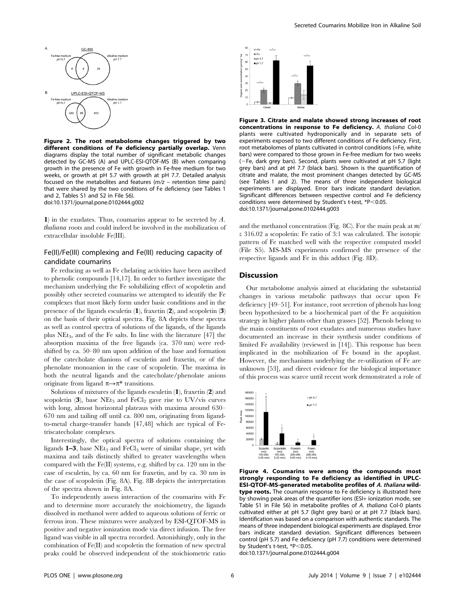

Figure 2. The root metabolome changes triggered by two different conditions of Fe deficiency partially overlap. Venn diagrams display the total number of significant metabolic changes detected by GC-MS (A) and UPLC-ESI-QTOF-MS (B) when comparing growth in the presence of Fe with growth in Fe-free medium for two weeks, or growth at pH 5.7 with growth at pH 7.7. Detailed analysis focused on the metabolites and features  $(m/z -$  retention time pairs) that were shared by the two conditions of Fe deficiency (see Tables 1 and 2, Tables S1 and S2 in File S6). doi:10.1371/journal.pone.0102444.g002

1) in the exudates. Thus, coumarins appear to be secreted by  $A$ . thaliana roots and could indeed be involved in the mobilization of extracellular insoluble Fe(III).

## Fe(II)/Fe(III) complexing and Fe(III) reducing capacity of candidate coumarins

Fe reducing as well as Fe chelating activities have been ascribed to phenolic compounds [14,17]. In order to further investigate the mechanism underlying the Fe solubilizing effect of scopoletin and possibly other secreted coumarins we attempted to identify the Fe complexes that most likely form under basic conditions and in the presence of the ligands esculetin (1), fraxetin (2), and scopoletin (3) on the basis of their optical spectra. Fig. 8A depicts these spectra as well as control spectra of solutions of the ligands, of the ligands plus NEt3, and of the Fe salts. In line with the literature [47] the absorption maxima of the free ligands (ca. 370 nm) were redshifted by ca. 50–80 nm upon addition of the base and formation of the catecholate dianions of esculetin and fraxetin, or of the phenolate monoanion in the case of scopoletin. The maxima in both the neutral ligands and the catecholate/phenolate anions originate from ligand  $\pi \rightarrow \pi^*$  transitions.

Solutions of mixtures of the ligands esculetin  $(1)$ , fraxetin  $(2)$  and scopoletin  $(3)$ , base NEt<sub>3</sub> and FeCl<sub>2</sub> gave rise to UV/vis curves with long, almost horizontal plateaus with maxima around 630– 670 nm and tailing off until ca. 800 nm, originating from ligandto-metal charge-transfer bands [47,48] which are typical of Fetriscatecholate complexes.

Interestingly, the optical spectra of solutions containing the ligands  $1-3$ , base NEt<sub>3</sub> and FeCl<sub>3</sub> were of similar shape, yet with maxima and tails distinctly shifted to greater wavelengths when compared with the Fe(II) systems, e.g. shifted by ca. 120 nm in the case of esculetin, by ca. 60 nm for fraxetin, and by ca. 30 nm in the case of scopoletin (Fig. 8A). Fig. 8B depicts the interpretation of the spectra shown in Fig. 8A.

To independently assess interaction of the coumarins with Fe and to determine more accurately the stoichiometry, the ligands dissolved in methanol were added to aqueous solutions of ferric or ferrous iron. These mixtures were analyzed by ESI-QTOF-MS in positive and negative ionization mode via direct infusion. The free ligand was visible in all spectra recorded. Astonishingly, only in the combination of Fe(II) and scopoletin the formation of new spectral peaks could be observed independent of the stoichiometric ratio



Figure 3. Citrate and malate showed strong increases of root concentrations in response to Fe deficiency. A. thaliana Col-0 plants were cultivated hydroponically and in separate sets of experiments exposed to two different conditions of Fe deficiency. First, root metabolomes of plants cultivated in control conditions (+Fe, white bars) were compared to those grown in Fe-free medium for two weeks (2Fe, dark grey bars). Second, plants were cultivated at pH 5.7 (light grey bars) and at pH 7.7 (black bars). Shown is the quantification of citrate and malate, the most prominent changes detected by GC-MS (see Tables 1 and 2). The means of three independent biological experiments are displayed. Error bars indicate standard deviation. Significant differences between respective control and Fe deficiency conditions were determined by Student's t-test,  $*P<0.05$ . doi:10.1371/journal.pone.0102444.g003

and the methanol concentration (Fig. 8C). For the main peak at  $m/$ z 316.02 a scopoletin: Fe ratio of 3:1 was calculated. The isotopic pattern of Fe matched well with the respective computed model (File S5). MS-MS experiments confirmed the presence of the respective ligands and Fe in this adduct (Fig. 8D).

## **Discussion**

Our metabolome analysis aimed at elucidating the substantial changes in various metabolic pathways that occur upon Fe deficiency [49–51]. For instance, root secretion of phenols has long been hypothesized to be a biochemical part of the Fe acquisition strategy in higher plants other than grasses [52]. Phenols belong to the main constituents of root exudates and numerous studies have documented an increase in their synthesis under conditions of limited Fe availability (reviewed in [14]). This response has been implicated in the mobilization of Fe bound in the apoplast. However, the mechanisms underlying the re-utilization of Fe are unknown [53], and direct evidence for the biological importance of this process was scarce until recent work demonstrated a role of



Figure 4. Coumarins were among the compounds most strongly responding to Fe deficiency as identified in UPLC-ESI-QTOF-MS-generated metabolite profiles of A. thaliana wildtype roots. The coumarin response to Fe deficiency is illustrated here by showing peak areas of the quantifier ions (ESI+ ionization mode, see Table S1 in File S6) in metabolite profiles of A. thaliana Col-0 plants cultivated either at pH 5.7 (light grey bars) or at pH 7.7 (black bars). Identification was based on a comparison with authentic standards. The means of three independent biological experiments are displayed. Error bars indicate standard deviation. Significant differences between control (pH 5.7) and Fe deficiency (pH 7.7) conditions were determined by Student's t-test, \*P<0.05.

doi:10.1371/journal.pone.0102444.g004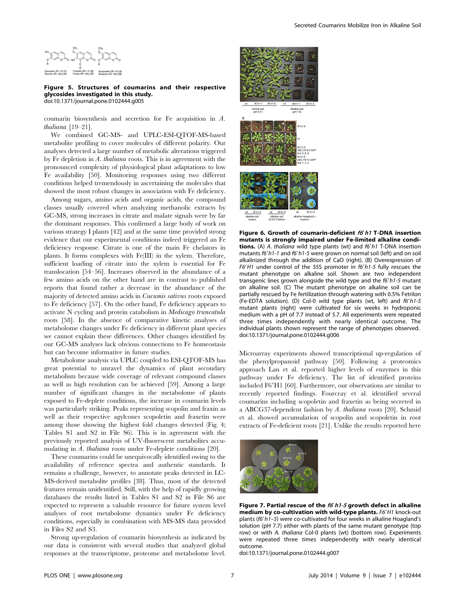

Figure 5. Structures of coumarins and their respective glycosides investigated in this study. doi:10.1371/journal.pone.0102444.g005

coumarin biosynthesis and secretion for Fe acquisition in A. thaliana [19–21].

We combined GC-MS- and UPLC-ESI-QTOF-MS-based metabolite profiling to cover molecules of different polarity. Our analyses detected a large number of metabolic alterations triggered by Fe depletion in A. thaliana roots. This is in agreement with the pronounced complexity of physiological plant adaptations to low Fe availability [50]. Monitoring responses using two different conditions helped tremendously in ascertaining the molecules that showed the most robust changes in association with Fe deficiency.

Among sugars, amino acids and organic acids, the compound classes usually covered when analyzing methanolic extracts by GC-MS, strong increases in citrate and malate signals were by far the dominant responses. This confirmed a large body of work on various strategy I plants [42] and at the same time provided strong evidence that our experimental conditions indeed triggered an Fe deficiency response. Citrate is one of the main Fe chelators in plants. It forms complexes with Fe(III) in the xylem. Therefore, sufficient loading of citrate into the xylem is essential for Fe translocation [54–56]. Increases observed in the abundance of a few amino acids on the other hand are in contrast to published reports that found rather a decrease in the abundance of the majority of detected amino acids in Cucumis sativus roots exposed to Fe deficiency [57]. On the other hand, Fe deficiency appears to activate N cycling and protein catabolism in Medicago truncatula roots [58]. In the absence of comparative kinetic analyses of metabolome changes under Fe deficiency in different plant species we cannot explain these differences. Other changes identified by our GC-MS analyses lack obvious connections to Fe homeostasis but can become informative in future studies.

Metabolome analysis via UPLC coupled to ESI-QTOF-MS has great potential to unravel the dynamics of plant secondary metabolism because wide coverage of relevant compound classes as well as high resolution can be achieved [59]. Among a large number of significant changes in the metabolome of plants exposed to Fe-deplete conditions, the increase in coumarin levels was particularly striking. Peaks representing scopolin and fraxin as well as their respective agylcones scopoletin and fraxetin were among those showing the highest fold changes detected (Fig. 4; Tables S1 and S2 in File S6). This is in agreement with the previously reported analysis of UV-fluorescent metabolites accumulating in A. thaliana roots under Fe-deplete conditions [20].

These coumarins could be unequivocally identified owing to the availability of reference spectra and authentic standards. It remains a challenge, however, to annotate peaks detected in LC-MS-derived metabolite profiles [38]. Thus, most of the detected features remain unidentified. Still, with the help of rapidly growing databases the results listed in Tables S1 and S2 in File S6 are expected to represent a valuable resource for future system level analyses of root metabolome dynamics under Fe deficiency conditions, especially in combination with MS-MS data provided in Files S2 and S3.

Strong up-regulation of coumarin biosynthesis as indicated by our data is consistent with several studies that analyzed global responses at the transcriptome, proteome and metabolome level.



Figure 6. Growth of coumarin-deficient  $f_0$   $h$ 1 T-DNA insertion mutants is strongly impaired under Fe-limited alkaline conditions. (A) A. thaliana wild type plants (wt) and  $f6'h1$  T-DNA insertion mutants f6'h1-1 and f6'h1-5 were grown on normal soil (left) and on soil alkalinized through the addition of CaO (right). (B) Overexpression of F6'H1 under control of the 35S promoter in  $f6'h1-5$  fully rescues the mutant phenotype on alkaline soil. Shown are two independent transgenic lines grown alongside the wild type and the  $66'h1-5$  mutant on alkaline soil. (C) The mutant phenotype on alkaline soil can be partially rescued by Fe fertilization through watering with 0.5% Fetrilon (Fe-EDTA solution). (D) Col-0 wild type plants (wt, left) and  $f6'h1-5$ mutant plants (right) were cultivated for six weeks in hydroponic medium with a pH of 7.7 instead of 5.7. All experiments were repeated three times independently with nearly identical outcome. The individual plants shown represent the range of phenotypes observed. doi:10.1371/journal.pone.0102444.g006

Microarray experiments showed transcriptional up-regulation of the phenylpropanoid pathway [50]. Following a proteomics approach Lan et al. reported higher levels of enzymes in this pathway under Fe deficiency. The list of identified proteins included F6'H1 [60]. Furthermore, our observations are similar to recently reported findings. Fourcray et al. identified several coumarins including scopoletin and fraxetin as being secreted in a ABCG37-dependent fashion by A. thaliana roots [20]. Schmid et al. showed accumulation of scopolin and scopoletin in root extracts of Fe-deficient roots [21]. Unlike the results reported here



Figure 7. Partial rescue of the  $f6'h1-5$  growth defect in alkaline medium by co-cultivation with wild-type plants. F6'H1 knock-out plants ( $f6'h1-5$ ) were co-cultivated for four weeks in alkaline Hoagland's solution (pH 7.7) either with plants of the same mutant genotype (top row) or with A. thaliana Col-0 plants (wt) (bottom row). Experiments were repeated three times independently with nearly identical outcome.

doi:10.1371/journal.pone.0102444.g007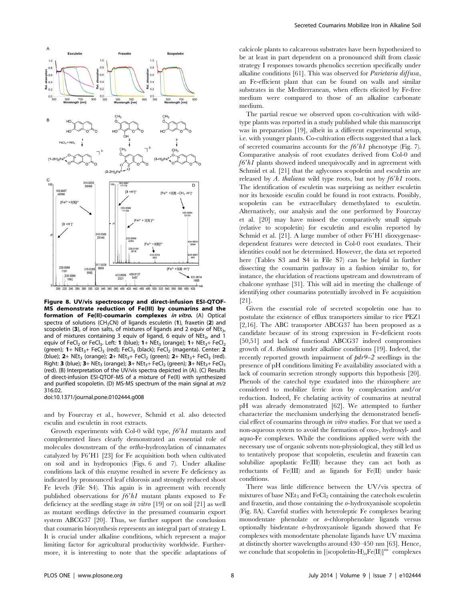

Figure 8. UV/vis spectroscopy and direct-infusion ESI-QTOF-MS demonstrate reduction of Fe(III) by coumarins and the formation of Fe(II)-coumarin complexes in vitro. (A) Optical spectra of solutions (CH<sub>3</sub>CN) of ligands esculetin  $(1)$ , fraxetin  $(2)$  and scopoletin (3), of iron salts, of mixtures of ligands and 2 equiv of  $NEt<sub>3</sub>$ , and of mixtures containing 3 equiv of ligand, 6 equiv of  $NEt<sub>3</sub>$ , and 1 equiv of FeCl<sub>2</sub> or FeCl<sub>3</sub>. Left: **1** (blue); **1**+ NEt<sub>3</sub> (orange); **1**+ NEt<sub>3</sub>+ FeCl<sub>2</sub> (green);  $1+$  NEt<sub>3</sub>+ FeCl<sub>3</sub> (red); FeCl<sub>3</sub> (black); FeCl<sub>2</sub> (magenta). Center: 2 (blue);  $2+$  NEt<sub>3</sub> (orange);  $2+$  NEt<sub>3</sub>+ FeCl<sub>2</sub> (green);  $2+$  NEt<sub>3</sub>+ FeCl<sub>3</sub> (red). Right: 3 (blue);  $3+$  NEt<sub>3</sub> (orange);  $3+$  NEt<sub>3</sub>+ FeCl<sub>2</sub> (green);  $3+$  NEt<sub>3</sub>+ FeCl<sub>3</sub> (red). (B) Interpretation of the UV/vis spectra depicted in (A). (C) Results of direct-infusion ESI-QTOF-MS of a mixture of Fe(II) with synthesized and purified scopoletin. (D) MS-MS spectrum of the main signal at  $m/z$ 316.02.

doi:10.1371/journal.pone.0102444.g008

and by Fourcray et al., however, Schmid et al. also detected esculin and esculetin in root extracts.

Growth experiments with Col-0 wild type,  $f6'h1$  mutants and complemented lines clearly demonstrated an essential role of molecules downstream of the ortho-hydroxylation of cinnamates catalyzed by F6'H1 [23] for Fe acquisition both when cultivated on soil and in hydroponics (Figs. 6 and 7). Under alkaline conditions lack of this enzyme resulted in severe Fe deficiency as indicated by pronounced leaf chlorosis and strongly reduced shoot Fe levels (File S4). This again is in agreement with recently published observations for  $f6'h1$  mutant plants exposed to Fe deficiency at the seedling stage in vitro  $[19]$  or on soil  $[21]$  as well as mutant seedlings defective in the presumed coumarin export system ABCG37 [20]. Thus, we further support the conclusion that coumarin biosynthesis represents an integral part of strategy I. It is crucial under alkaline conditions, which represent a major limiting factor for agricultural productivity worldwide. Furthermore, it is interesting to note that the specific adaptations of calcicole plants to calcareous substrates have been hypothesized to be at least in part dependent on a pronounced shift from classic strategy I responses towards phenolics secretion specifically under alkaline conditions [61]. This was observed for Parietaria diffusa, an Fe-efficient plant that can be found on walls and similar substrates in the Mediterranean, when effects elicited by Fe-free medium were compared to those of an alkaline carbonate medium.

The partial rescue we observed upon co-cultivation with wildtype plants was reported in a study published while this manuscript was in preparation [19], albeit in a different experimental setup, i.e. with younger plants. Co-cultivation effects suggested that a lack of secreted coumarins accounts for the  $f6'h1$  phenotype (Fig. 7). Comparative analysis of root exudates derived from Col-0 and  $f6'h1$  plants showed indeed unequivocally and in agreement with Schmid et al. [21] that the aglycones scopoletin and esculetin are released by A. thaliana wild type roots, but not by  $f6'h1$  roots. The identification of esculetin was surprising as neither esculetin nor its hexoside esculin could be found in root extracts. Possibly, scopoletin can be extracellulary demethylated to esculetin. Alternatively, our analysis and the one performed by Fourcray et al. [20] may have missed the comparatively small signals (relative to scopoletin) for esculetin and esculin reported by Schmid et al. [21]. A large number of other F6'H1 dioxygenasedependent features were detected in Col-0 root exudates. Their identities could not be determined. However, the data set reported here (Tables S3 and S4 in File S7) can be helpful in further dissecting the coumarin pathway in a fashion similar to, for instance, the elucidation of reactions upstream and downstream of chalcone synthase [31]. This will aid in meeting the challenge of identifying other coumarins potentially involved in Fe acquisition [21].

Given the essential role of secreted scopoletin one has to postulate the existence of efflux transporters similar to rice PEZ1 [2,16]. The ABC transporter ABCG37 has been proposed as a candidate because of its strong expression in Fe-deficient roots [50,51] and lack of functional ABCG37 indeed compromises growth of A. thaliana under alkaline conditions [19]. Indeed, the recently reported growth impairment of pdr9–2 seedlings in the presence of pH conditions limiting Fe availability associated with a lack of coumarin secretion strongly supports this hypothesis [20]. Phenols of the catechol type exudated into the rhizosphere are considered to mobilize ferric iron by complexation and/or reduction. Indeed, Fe chelating activity of coumarins at neutral pH was already demonstrated [62]. We attempted to further characterize the mechanism underlying the demonstrated beneficial effect of coumarins through in vitro studies. For that we used a non-aqueous system to avoid the formation of oxo-, hydroxyl- and aquo-Fe complexes. While the conditions applied were with the necessary use of organic solvents non-physiological, they still led us to tentatively propose that scopoletin, esculetin and fraxetin can solubilize apoplastic Fe(III) because they can act both as reductants of Fe(III) and as ligands for Fe(II) under basic conditions.

There was little difference between the UV/vis spectra of mixtures of base  $NEt_3$  and  $FeCl_2$  containing the catechols esculetin and fraxetin, and those containing the o-hydroxyanisole scopoletin (Fig. 8A). Careful studies with heteroleptic Fe complexes bearing monodentate phenolate or o-chlorophenolate ligands versus optionally bisdentate o-hydroxyanisole ligands showed that Fe complexes with monodentate phenolate ligands have UV maxima at distinctly shorter wavelengths around 430–450 nm [63]. Hence, we conclude that scopoletin in  $\left[\left(\text{scopoletin-H}\right)_{n}Fe(\text{II})\right]^{m-}$  complexes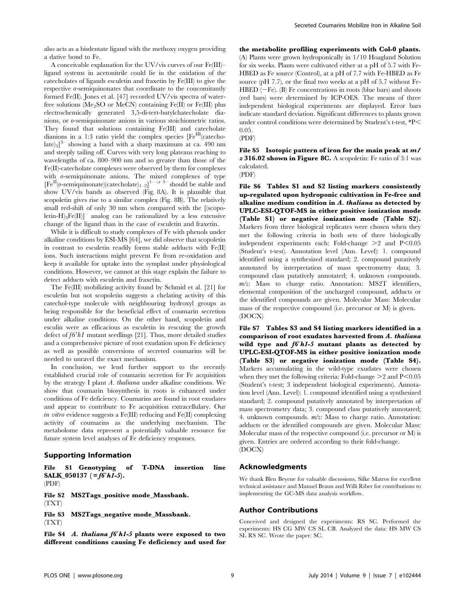also acts as a bisdentate ligand with the methoxy oxygen providing a dative bond to Fe.

A conceivable explanation for the UV/vis curves of our Fe(III)– ligand systems in acetonitrile could lie in the oxidation of the catecholates of ligands esculetin and fraxetin by Fe(III) to give the respective o-semiquinonates that coordinate to the concomitantly formed Fe(II). Jones et al. [47] recorded UV/vis spectra of waterfree solutions (Me<sub>2</sub>SO or MeCN) containing Fe(II) or Fe(III) plus electrochemically generated 3,5-di-tert-butylchatecholate dianions, or o-semiquinonate anions in various stoichiometric ratios. They found that solutions containing Fe(III) and catecholate dianions in a 1:3 ratio yield the complex species  $[Fe^{III}]$ (catecho- $\left[\text{late}\right]_3\right]^3$  showing a band with a sharp maximum at ca. 490 nm and steeply tailing off. Curves with very long plateaus reaching to wavelengths of ca. 800–900 nm and so greater than those of the Fe(II)-catecholate complexes were observed by them for complexes with  $\theta$ -semiquinonate anions. The mixed complexes of type  $[Fe^{II}(\theta\text{-semiquinonate})(\text{catecholate})_{1-2}]$ <sup>1- or 3-</sup> should be stable and show UV/vis bands as observed (Fig. 8A). It is plausible that scopoletin gives rise to a similar complex (Fig. 8B). The relatively small red-shift of only 30 nm when compared with the [(scopoletin-H)<sub>3</sub>Fe(II)]<sup>–</sup> analog can be rationalized by a less extensive change of the ligand than in the case of esculetin and fraxetin.

While it is difficult to study complexes of Fe with phenols under alkaline conditions by ESI-MS [64], we did observe that scopoletin in contrast to esculetin readily forms stable adducts with Fe(II) ions. Such interactions might prevent Fe from re-oxidation and keep it available for uptake into the symplast under physiological conditions. However, we cannot at this stage explain the failure to detect adducts with esculetin and fraxetin.

The Fe(III) mobilizing activity found by Schmid et al. [21] for esculetin but not scopoletin suggests a chelating activity of this catechol-type molecule with neighbouring hydroxyl groups as being responsible for the beneficial effect of coumarin secretion under alkaline conditions. On the other hand, scopoletin and esculin were as efficacious as esculetin in rescuing the growth defect of  $f6'h1$  mutant seedlings [21]. Thus, more detailed studies and a comprehensive picture of root exudation upon Fe deficiency as well as possible conversions of secreted coumarins will be needed to unravel the exact mechanism.

In conclusion, we lend further support to the recently established crucial role of coumarin secretion for Fe acquisition by the strategy I plant A. thaliana under alkaline conditions. We show that coumarin biosynthesis in roots is enhanced under conditions of Fe deficiency. Coumarins are found in root exudates and appear to contribute to Fe acquisition extracellulary. Our in vitro evidence suggests a Fe(III) reducing and Fe(II) complexing activity of coumarins as the underlying mechanism. The metabolome data represent a potentially valuable resource for future system level analyses of Fe deficiency responses.

## Supporting Information

File S1 Genotyping of T-DNA insertion line SALK\_050137 (= $f6'h1-5$ ). (PDF)

File S2 MS2Tags\_positive mode\_Massbank. (TXT)

File S3 MS2Tags\_negative mode\_Massbank. (TXT)

File S4  $A$ . thaliana  $f6'h1-5$  plants were exposed to two different conditions causing Fe deficiency and used for the metabolite profiling experiments with Col-0 plants. (A) Plants were grown hydroponically in 1/10 Hoagland Solution for six weeks. Plants were cultivated either at a pH of 5.7 with Fe-HBED as Fe source (Control), at a pH of 7.7 with Fe-HBED as Fe source (pH 7.7), or the final two weeks at a pH of 5.7 without Fe- $HBED$  ( $-Fe$ ). (B) Fe concentrations in roots (blue bars) and shoots (red bars) were determined by ICP-OES. The means of three independent biological experiments are displayed. Error bars indicate standard deviation. Significant differences to plants grown under control conditions were determined by Student's t-test,  $*P$ 0.05.

(PDF)

File S5 Isotopic pattern of iron for the main peak at  $m/$  $z$  316.02 shown in Figure 8C. A scopoletin: Fe ratio of 3:1 was calculated. (PDF)

File S6 Tables S1 and S2 listing markers consistently up-regulated upon hydroponic cultivation in Fe-free and alkaline medium condition in A. thaliana as detected by UPLC-ESI-QTOF-MS in either positive ionization mode (Table S1) or negative ionization mode (Table S2). Markers from three biological replicates were chosen when they met the following criteria in both sets of three biologically independent experiments each: Fold-change  $\geq 2$  and  $P \leq 0.05$ (Student's t-test). Annotation level (Ann. Level): 1. compound identified using a synthesized standard; 2. compound putatively annotated by interpretation of mass spectrometry data; 3. compound class putatively annotated; 4. unknown compounds.  $m/z$ : Mass to charge ratio. Annotation: MS2T identifiers, elemental composition of the uncharged compound, adducts or the identified compounds are given. Molecular Mass: Molecular mass of the respective compound (i.e. precursor or M) is given. (DOCX)

File S7 Tables S3 and S4 listing markers identified in a comparison of root exudates harvested from A. thaliana wild type and  $f6'h1-5$  mutant plants as detected by UPLC-ESI-QTOF-MS in either positive ionization mode (Table S3) or negative ionization mode (Table S4). Markers accumulating in the wild-type exudates were chosen when they met the following criteria: Fold-change  $\geq$  2 and P $\leq$ 0.05 (Student's t-test; 3 independent biological experiments). Annotation level (Ann. Level): 1. compound identified using a synthesized standard; 2. compound putatively annotated by interpretation of mass spectrometry data; 3. compound class putatively annotated; 4. unknown compounds. m/z: Mass to charge ratio. Annotation: adducts or the identified compounds are given. Molecular Mass: Molecular mass of the respective compound (i.e. precursor or M) is given. Entries are ordered according to their fold-change. (DOCX)

## Acknowledgments

We thank Blen Beyene for valuable discussions, Silke Matros for excellent technical assistance and Manuel Braun and Willi Riber for contributions to implementing the GC-MS data analysis workflow.

#### Author Contributions

Conceived and designed the experiments: RS SC. Performed the experiments: HS CG MW CS SL CB. Analyzed the data: HS MW CS SL RS SC. Wrote the paper: SC.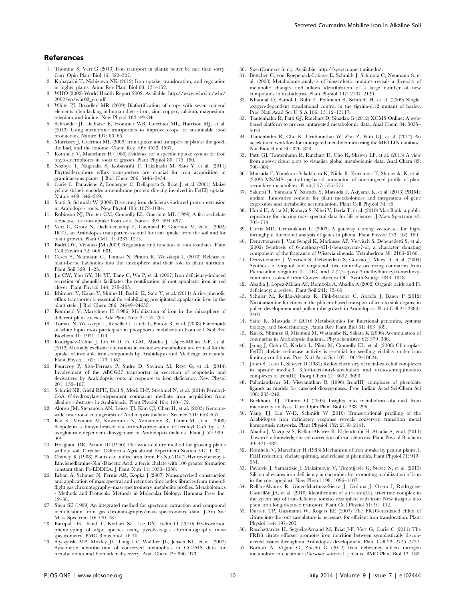## References

- 1. Thomine S, Vert G (2013) Iron transport in plants: better be safe than sorry. Curr Opin Plant Biol 16: 322–327.
- 2. Kobayashi T, Nishizawa NK (2012) Iron uptake, translocation, and regulation in higher plants. Annu Rev Plant Biol 63: 131–152.
- 3. WHO (2002) World Health Report 2002. Available: http://www.who.int/whr/ 2002/en/whr02\_en.pdf.
- 4. White PJ, Broadley MR (2009) Biofortification of crops with seven mineral elements often lacking in human diets - iron, zinc, copper, calcium, magnesium, selenium and iodine. New Phytol 182: 49–84.
- 5. Schroeder JI, Delhaize E, Frommer WB, Guerinot ML, Harrison MJ, et al. (2013) Using membrane transporters to improve crops for sustainable food production. Nature 497: 60–66.
- 6. Morrissey J, Guerinot ML (2009) Iron uptake and transport in plants: the good, the bad, and the lonome. Chem Rev 109: 4553–4567.
- 7. Römheld V, Marschner H (1986) Evidence for a specific uptake system for iron phytosiderophores in roots of grasses. Plant Physiol 80: 175–180.
- 8. Nozoye T, Nagasaka S, Kobayashi T, Takahashi M, Sato Y, et al. (2011) Phytosiderophore efflux transporters are crucial for iron acquisition in graminaceous plants. J Biol Chem 286: 5446–5454.
- 9. Curie C, Panaviene Z, Loulergue C, Dellaporta S, Briat J, et al. (2001) Maize yellow stripe1 encodes a membrane protein directly involved in Fe(III) uptake. Nature 409: 346–349.
- 10. Santi S, Schmidt W (2009) Dissecting iron deficiency-induced proton extrusion in Arabidopsis roots. New Phytol 183: 1072–1084.
- 11. Robinson NJ, Procter CM, Connolly EL, Guerinot ML (1999) A ferric-chelate reductase for iron uptake from soils. Nature 397: 694–697.
- 12. Vert G, Grotz N, Dedaldechamp F, Gaymard F, Guerinot M, et al. (2002) IRT1, an Arabidopsis transporter essential for iron uptake from the soil and for plant growth. Plant Cell 14: 1233–1243.
- 13. Badri DV, Vivanco JM (2009) Regulation and function of root exudates. Plant Cell Environ 32: 666–681.
- 14. Cesco S, Neumann G, Tomasi N, Pinton R, Weisskopf L (2010) Release of plant-borne flavonoids into the rhizosphere and their role in plant nutrition. Plant Soil 329: 1–25.
- 15. Jin CW, You GY, He YF, Tang C, Wu P, et al. (2007) Iron deficiency-induced secretion of phenolics facilitates the reutilization of root apoplastic iron in red clover. Plant Physiol 144: 278–285.
- 16. Ishimaru Y, Kakei Y, Shimo H, Bashir K, Sato Y, et al. (2011) A rice phenolic efflux transporter is essential for solubilizing precipitated apoplasmic iron in the plant stele. J Biol Chem 286: 24649–24655.
- 17. Römheld V, Marschner H (1986) Mobilization of iron in the rhizosphere of different plant species. Adv Plant Nutr 2: 155–204.
- 18. Tomasi N, Weisskopf L, Renella G, Landi L, Pinton R, et al. (2008) Flavonoids of white lupin roots participate in phosphorus mobilization from soil. Soil Biol Biochem 40: 1971–1974.
- 19. Rodríguez-Celma J, Lin W-D, Fu G-M, Abadia J, López-Míllán A-F, et al. (2013) Mutually exclusive alterations in secondary metabolism are critical for the uptake of insoluble iron compounds by Arabidopsis and Medicago truncatula. Plant Physiol. 162: 1473–1485.
- 20. Fourcroy P, Sisó-Terraza P, Sudre D, Savirón M, Reyt G, et al. (2014) Involvement of the ABCG37 transporter in secretion of scopoletin and derivatives by Arabidopsis roots in response to iron deficiency. New Phytol 201: 155–167.
- 21. Schmid NB, Giehl RFH, Doll S, Mock H-P, Strehmel N, et al. (2014) Feruloyl-CoA 6'-hydroxylase1-dependent coumarins mediate iron acquisition from alkaline substrates in Arabidopsis. Plant Physiol 164: 160–172.
- 22. Alonso JM, Stepanova AN, Leisse TJ, Kim CJ, Chen H, et al. (2003) Genomewide insertional mutagenesis of Arabidopsis thaliana. Science 301: 653–657.
- 23. Kai K, Mizutani M, Kawamura N, Yamamoto R, Tamai M, et al. (2008) Scopoletin is biosynthesized via ortho-hydroxylation of feruloyl CoA by a 2 oxoglutarate-dependent dioxygenase in Arabidopsis thaliana. Plant J 55: 989– 999.
- 24. Hoagland DR, Arnon DI (1950) The water-culture method for growing plants without soil. Circular. California Agricultural Experiment Station 347, 1–32.
- 25. Chaney R (1988) Plants can utilize iron from Fe-N,n'-Di-(2-Hydroxybenzoyl)- Ethylenediamine-N,n'-Diacetic Acid, a ferric chelate with 106 greater formation constant than Fe-EDDHA. J Plant Nutr 11: 1033–1050.
- 26. Erban A, Schauer N, Fernie AR, Kopka J (2007) Nonsupervised construction and application of mass spectral and retention time index libraries from time-offlight gas chromatography–mass spectrometry metabolite profiles. Metabolomics - Methods and Protocols. Methods in Molecular Biology. Humana Press Inc. 19–38.
- 27. Stein SE (1999) An integrated method for spectrum extraction and compound identification from gas chromatography/mass spectrometry data. J Am Soc Mass Spectrom 10: 770–781.
- 28. Barupal DK, Kind T, Kothari SL, Lee DY, Fiehn O (2010) Hydrocarbon phenotyping of algal species using pyrolysis-gas chromatography mass spectrometry. BMC Biotechnol 10: 40.
- 29. Styczynski MP, Moxley JF, Tong LV, Walther JL, Jensen KL, et al. (2007) Systematic identification of conserved metabolites in GC/MS data for metabolomics and biomarker discovery. Anal Chem 79: 966–973.
- 30. SpectConnect (n.d.). Available: http://spectconnect.mit.edu/.
- Böttcher C, von Roepenack-Lahaye E, Schmidt J, Schmotz C, Neumann S, et al. (2008) Metabolome analysis of biosynthetic mutants reveals a diversity of metabolic changes and allows identification of a large number of new compounds in arabidopsis. Plant Physiol 147: 2107–2120.
- 32. Khandal D, Samol I, Buhr F, Pollmann S, Schmidt H, et al. (2009) Singlet oxygen-dependent translational control in the tigrina-d.12 mutant of barley. Proc Natl Acad Sci U S A 106: 13112–13117.
- 33. Tautenhahn R, Patti GJ, Rinehart D, Siuzdak G (2012) XCMS Online: A webbased platform to process untargeted metabolomic data. Anal Chem 84: 5035– 5039.
- 34. Tautenhahn R, Cho K, Uritboonthai W, Zhu Z, Patti GJ, et al. (2012) An accelerated workflow for untargeted metabolomics using the METLIN database. Nat Biotechnol 30: 826–828.
- 35. Patti GJ, Tautenhahn R, Rinehart D, Cho K, Shriver LP, et al. (2013) A view from above: cloud plots to visualize global metabolomic data. Anal Chem 85: 798–804.
- 36. Matsuda F, Yonekura-Sakakibara K, Niida R, Kuromori T, Shinozaki K, et al. (2009) MS/MS spectral tag-based annotation of non-targeted profile of plant secondary metabolites. Plant J 57: 555–577.
- 37. Sakurai T, Yamada Y, Sawada Y, Matsuda F, Akiyama K, et al. (2013) PRIMe update: Innovative content for plant metabolomics and integration of gene expression and metabolite accumulation. Plant Cell Physiol 54: e5.
- 38. Horai H, Arita M, Kanaya S, Nihei Y, Ikeda T, et al. (2010) MassBank: a public repository for sharing mass spectral data for life sciences. J Mass Spectrom 45: 703–714.
- 39. Curtis MD, Grossniklaus U (2003) A gateway cloning vector set for high-throughput functional analysis of genes in planta. Plant Physiol 133: 462–469.
- 40. Demyttenaere J, Van Syngel K, Markusse AP, Vervisch S, Debenedetti S, et al. (2002) Synthesis of 6-methoxy-4H-1-benzopyran-7-ol, a character donating component of the fragrance of Wisteria sinensis. Tetrahedron 58: 2163–2166.
- 41. Demyttenaere J, Vervisch S, Debenedetti S, Coussio J, Maes D, et al. (2004) Synthesis of virgatol and virgatenol, two naturally occurring coumarins from Pterocaulon virgatum (L.) DC, and 7-(2,3-epoxy-3-methylbutoxy)-6-methoxycoumarin, isolated from Conyza obscura DC. Synth-Stuttg: 1844–1848.
- 42. Abadia J, Lopez-Millan AF, Rombola A, Abadia A (2002) Organic acids and Fe deficiency: a review. Plant Soil 241: 75–86.
- 43. Schuler M, Rellán-Álvarez R, Fink-Straube C, Abadía J, Bauer P (2012) Nicotianamine functions in the phloem-based transport of iron to sink organs, in pollen development and pollen tube growth in Arabidopsis. Plant Cell 24: 2380– 2400.
- 44. Saito K, Matsuda F (2010) Metabolomics for functional genomics, systems biology, and biotechnology. Annu Rev Plant Biol 61: 463–489.
- 45. Kai K, Shimizu B, Mizutani M, Watanabe K, Sakata K (2006) Accumulation of coumarins in Arabidopsis thaliana. Phytochemistry 67: 379–386.
- 46. Jeong J, Cohu C, Kerkeb L, Pilon M, Connolly EL, et al. (2008) Chloroplast Fe(III) chelate reductase activity is essential for seedling viability under iron limiting conditions. Proc Natl Acad Sci 105: 10619–10624.
- 47. Jones S, Leon L, Sawyer D (1982) Redox chemistry of metal-catechol complexes in aprotic media.3. 3,5-di-tert-butylcatecholato and ortho-semiquinonato complexes of iron(III). Inorg Chem 21: 3692–3698.
- 48. Palaniandavar M, Viswanathan R (1996) Iron(III) complexes of phenolate ligands as models for catechol dioxygenases. Proc Indian Acad Sci-Chem Sci 108: 235–249.
- 49. Buckhout TJ, Thimm O (2003) Insights into metabolism obtained from microarray analysis. Curr Opin Plant Biol 6: 288–296.
- 50. Yang TJ, Lin W-D, Schmidt W (2010) Transcriptional profiling of the Arabidopsis iron deficiency response reveals conserved transition metal homeostasis networks. Plant Physiol 152: 2130–2141.
- 51. Abadia J, Vazquez S, Rellan-Alvarez R, El-Jendoubi H, Abadia A, et al. (2011) Towards a knowledge-based correction of iron chlorosis. Plant Physiol Biochem 49: 471–482.
- 52. Römheld V, Marschner H (1983) Mechanism of iron uptake by peanut plants.1. FeIII reduction, chelate splitting, and release of phenolics. Plant Physiol 71: 949– 954.
- 53. Pavlovic J, Samardzic J, Maksimovic V, Timotijevic G, Stevic N, et al. (2013) Silicon alleviates iron deficiency in cucumber by promoting mobilization of iron in the root apoplast. New Phytol 198: 1096–1107.
- 54. Rellán-Álvarez R, Giner-Martínez-Sierra J, Orduna J, Orera I, Rodríguez-Castrillón JÁ, et al. (2010) Identification of a tri-iron(III), tri-citrate complex in the xylem sap of iron-deficient tomato resupplied with iron: New insights into plant iron long-distance transport. Plant Cell Physiol 51: 91–102.
- 55. Durrett TP, Gassmann W, Rogers EE (2007) The FRD3-mediated efflux of citrate into the root vasculature is necessary for efficient iron translocation. Plant Physiol 144: 197–205.
- 56. Roschzttardtz H, Séguéla-Arnaud M, Briat J-F, Vert G, Curie C (2011) The FRD3 citrate effluxer promotes iron nutrition between symplastically disconnected tissues throughout Arabidopsis development. Plant Cell 23: 2725–2737.
- 57. Borlotti A, Vigani G, Zocchi G (2012) Iron deficiency affects nitrogen metabolism in cucumber (Cucumis sativus L.) plants. BMC Plant Biol 12: 189.